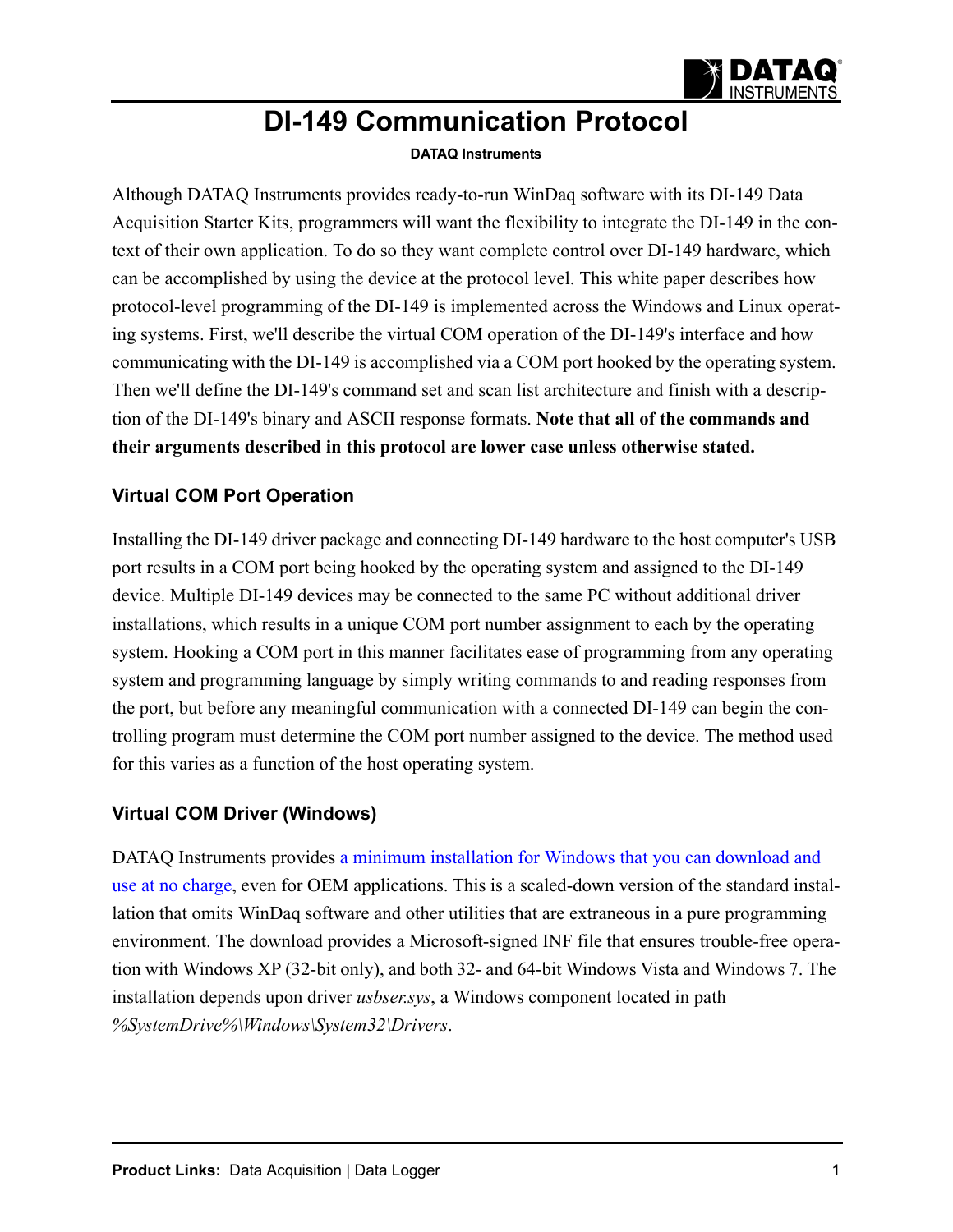

# **DI-149 Communication Protocol**

#### **DATAQ Instruments**

Although DATAQ Instruments provides ready-to-run WinDaq software with its DI-149 Data Acquisition Starter Kits, programmers will want the flexibility to integrate the DI-149 in the context of their own application. To do so they want complete control over DI-149 hardware, which can be accomplished by using the device at the protocol level. This white paper describes how protocol-level programming of the DI-149 is implemented across the Windows and Linux operating systems. First, we'll describe the virtual COM operation of the DI-149's interface and how communicating with the DI-149 is accomplished via a COM port hooked by the operating system. Then we'll define the DI-149's command set and scan list architecture and finish with a description of the DI-149's binary and ASCII response formats. **Note that all of the commands and their arguments described in this protocol are lower case unless otherwise stated.** 

#### **Virtual COM Port Operation**

Installing the DI-149 driver package and connecting DI-149 hardware to the host computer's USB port results in a COM port being hooked by the operating system and assigned to the DI-149 device. Multiple DI-149 devices may be connected to the same PC without additional driver installations, which results in a unique COM port number assignment to each by the operating system. Hooking a COM port in this manner facilitates ease of programming from any operating system and programming language by simply writing commands to and reading responses from the port, but before any meaningful communication with a connected DI-149 can begin the controlling program must determine the COM port number assigned to the device. The method used for this varies as a function of the host operating system.

#### **Virtual COM Driver (Windows)**

DATAQ Instruments provides [a minimum installation for Windows that you can download and](http://www.dataq.com/145/145usbdriver.EXE)  [use at no charge](http://www.dataq.com/145/145usbdriver.EXE), even for OEM applications. This is a scaled-down version of the standard installation that omits WinDaq software and other utilities that are extraneous in a pure programming environment. The download provides a Microsoft-signed INF file that ensures trouble-free operation with Windows XP (32-bit only), and both 32- and 64-bit Windows Vista and Windows 7. The installation depends upon driver *usbser.sys*, a Windows component located in path *%SystemDrive%\Windows\System32\Drivers*.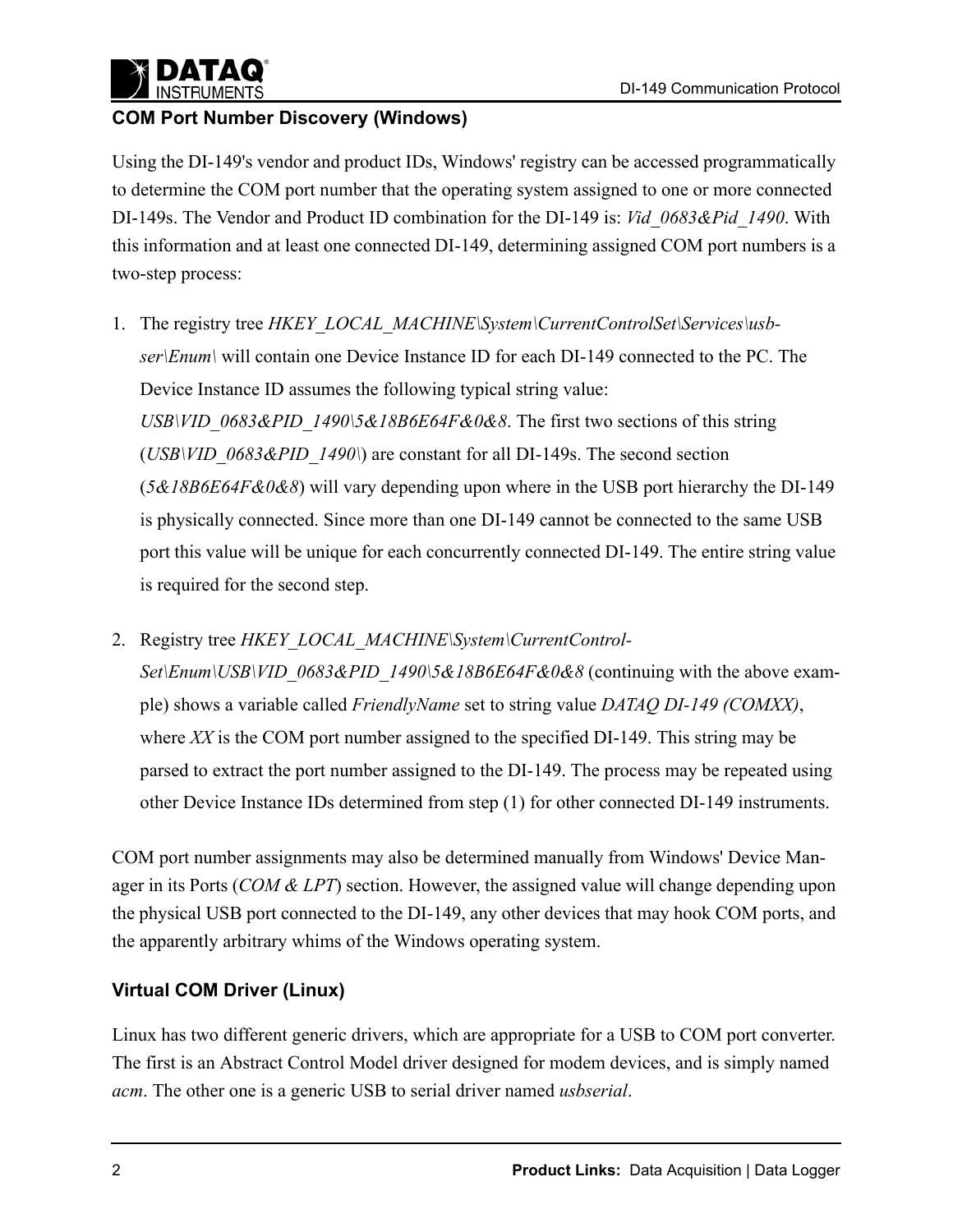

### **COM Port Number Discovery (Windows)**

Using the DI-149's vendor and product IDs, Windows' registry can be accessed programmatically to determine the COM port number that the operating system assigned to one or more connected DI-149s. The Vendor and Product ID combination for the DI-149 is: *Vid\_0683&Pid\_1490*. With this information and at least one connected DI-149, determining assigned COM port numbers is a two-step process:

- 1. The registry tree *HKEY\_LOCAL\_MACHINE\System\CurrentControlSet\Services\usbser\Enum\* will contain one Device Instance ID for each DI-149 connected to the PC. The Device Instance ID assumes the following typical string value: *USB\VID\_0683&PID\_1490\5&18B6E64F&0&8*. The first two sections of this string (*USB\VID\_0683&PID\_1490\*) are constant for all DI-149s. The second section (*5&18B6E64F&0&8*) will vary depending upon where in the USB port hierarchy the DI-149 is physically connected. Since more than one DI-149 cannot be connected to the same USB port this value will be unique for each concurrently connected DI-149. The entire string value is required for the second step.
- 2. Registry tree *HKEY\_LOCAL\_MACHINE\System\CurrentControl-Set\Enum\USB\VID\_0683&PID\_1490\5&18B6E64F&0&8* (continuing with the above example) shows a variable called *FriendlyName* set to string value *DATAQ DI-149 (COMXX)*, where *XX* is the COM port number assigned to the specified DI-149. This string may be parsed to extract the port number assigned to the DI-149. The process may be repeated using other Device Instance IDs determined from step (1) for other connected DI-149 instruments.

COM port number assignments may also be determined manually from Windows' Device Manager in its Ports (*COM & LPT*) section. However, the assigned value will change depending upon the physical USB port connected to the DI-149, any other devices that may hook COM ports, and the apparently arbitrary whims of the Windows operating system.

### **Virtual COM Driver (Linux)**

Linux has two different generic drivers, which are appropriate for a USB to COM port converter. The first is an Abstract Control Model driver designed for modem devices, and is simply named *acm*. The other one is a generic USB to serial driver named *usbserial*.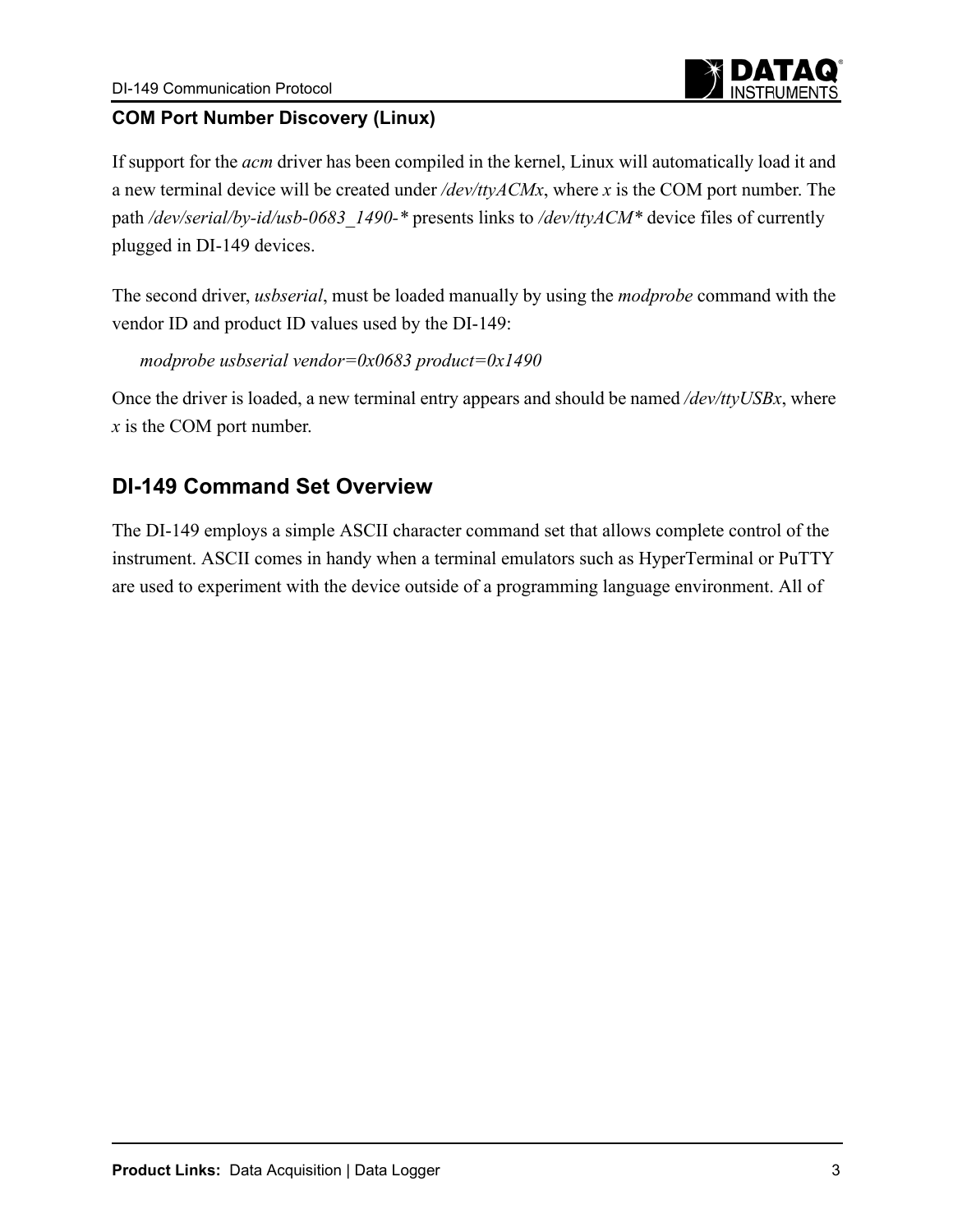

### **COM Port Number Discovery (Linux)**

If support for the *acm* driver has been compiled in the kernel, Linux will automatically load it and a new terminal device will be created under */dev/ttyACMx*, where *x* is the COM port number. The path */dev/serial/by-id/usb-0683\_1490-\** presents links to */dev/ttyACM\** device files of currently plugged in DI-149 devices.

The second driver, *usbserial*, must be loaded manually by using the *modprobe* command with the vendor ID and product ID values used by the DI-149:

*modprobe usbserial vendor=0x0683 product=0x1490*

Once the driver is loaded, a new terminal entry appears and should be named */dev/ttyUSBx*, where *x* is the COM port number.

# **DI-149 Command Set Overview**

The DI-149 employs a simple ASCII character command set that allows complete control of the instrument. ASCII comes in handy when a terminal emulators such as HyperTerminal or PuTTY are used to experiment with the device outside of a programming language environment. All of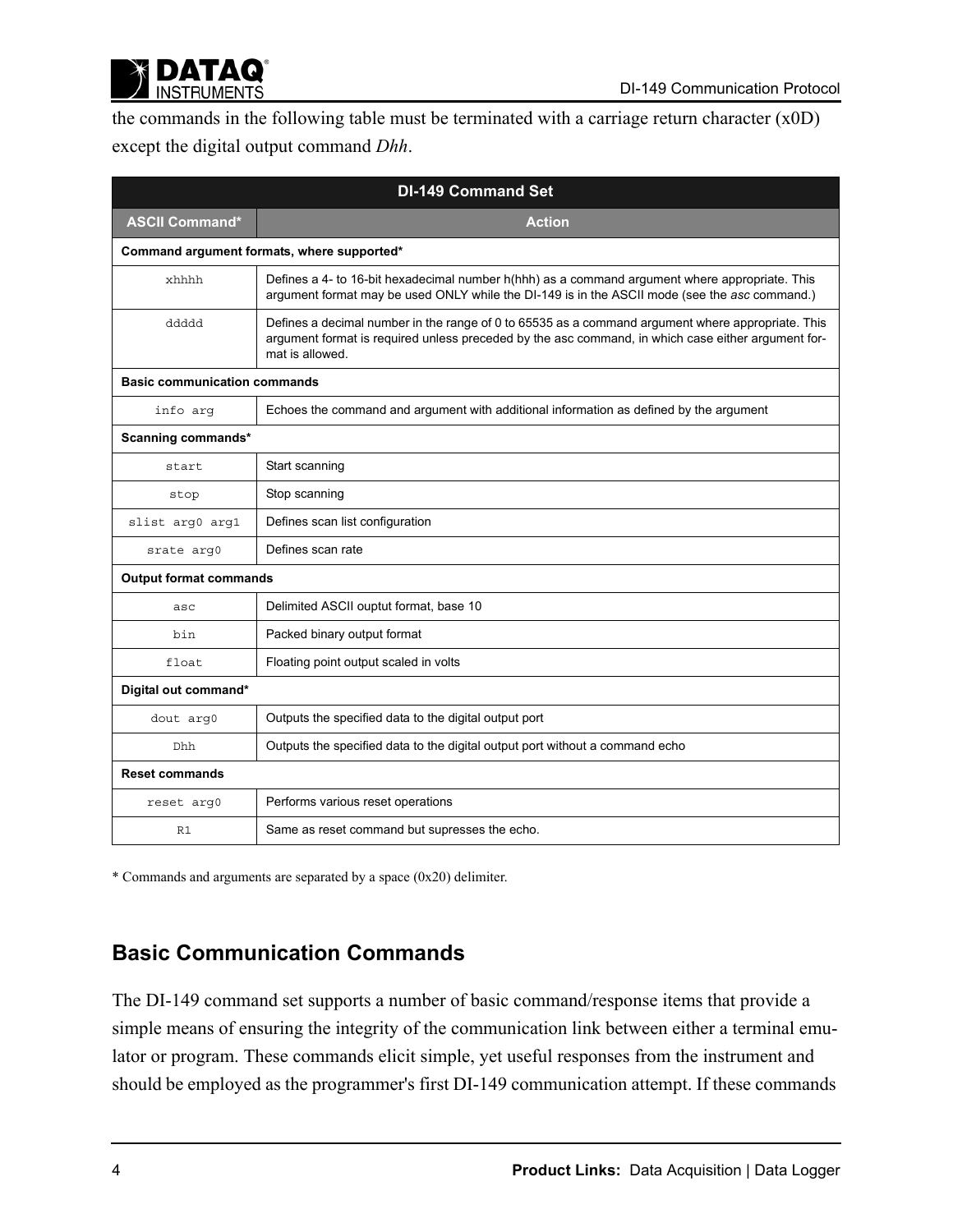

the commands in the following table must be terminated with a carriage return character (x0D) except the digital output command *Dhh*.

|                                     | <b>DI-149 Command Set</b>                                                                                                                                                                                                  |
|-------------------------------------|----------------------------------------------------------------------------------------------------------------------------------------------------------------------------------------------------------------------------|
| <b>ASCII Command*</b>               | <b>Action</b>                                                                                                                                                                                                              |
|                                     | Command argument formats, where supported*                                                                                                                                                                                 |
| xhhhh                               | Defines a 4- to 16-bit hexadecimal number h(hhh) as a command argument where appropriate. This<br>argument format may be used ONLY while the DI-149 is in the ASCII mode (see the asc command.)                            |
| ddddd                               | Defines a decimal number in the range of 0 to 65535 as a command argument where appropriate. This<br>argument format is required unless preceded by the asc command, in which case either argument for-<br>mat is allowed. |
| <b>Basic communication commands</b> |                                                                                                                                                                                                                            |
| info arg                            | Echoes the command and argument with additional information as defined by the argument                                                                                                                                     |
| Scanning commands*                  |                                                                                                                                                                                                                            |
| start                               | Start scanning                                                                                                                                                                                                             |
| stop                                | Stop scanning                                                                                                                                                                                                              |
| slist arg0 arg1                     | Defines scan list configuration                                                                                                                                                                                            |
| srate arg0                          | Defines scan rate                                                                                                                                                                                                          |
| <b>Output format commands</b>       |                                                                                                                                                                                                                            |
| asc                                 | Delimited ASCII ouptut format, base 10                                                                                                                                                                                     |
| bin                                 | Packed binary output format                                                                                                                                                                                                |
| float                               | Floating point output scaled in volts                                                                                                                                                                                      |
| Digital out command*                |                                                                                                                                                                                                                            |
| dout arg0                           | Outputs the specified data to the digital output port                                                                                                                                                                      |
| Dhh                                 | Outputs the specified data to the digital output port without a command echo                                                                                                                                               |
| <b>Reset commands</b>               |                                                                                                                                                                                                                            |
| reset arg0                          | Performs various reset operations                                                                                                                                                                                          |
| R1                                  | Same as reset command but supresses the echo.                                                                                                                                                                              |

\* Commands and arguments are separated by a space (0x20) delimiter.

# **Basic Communication Commands**

The DI-149 command set supports a number of basic command/response items that provide a simple means of ensuring the integrity of the communication link between either a terminal emulator or program. These commands elicit simple, yet useful responses from the instrument and should be employed as the programmer's first DI-149 communication attempt. If these commands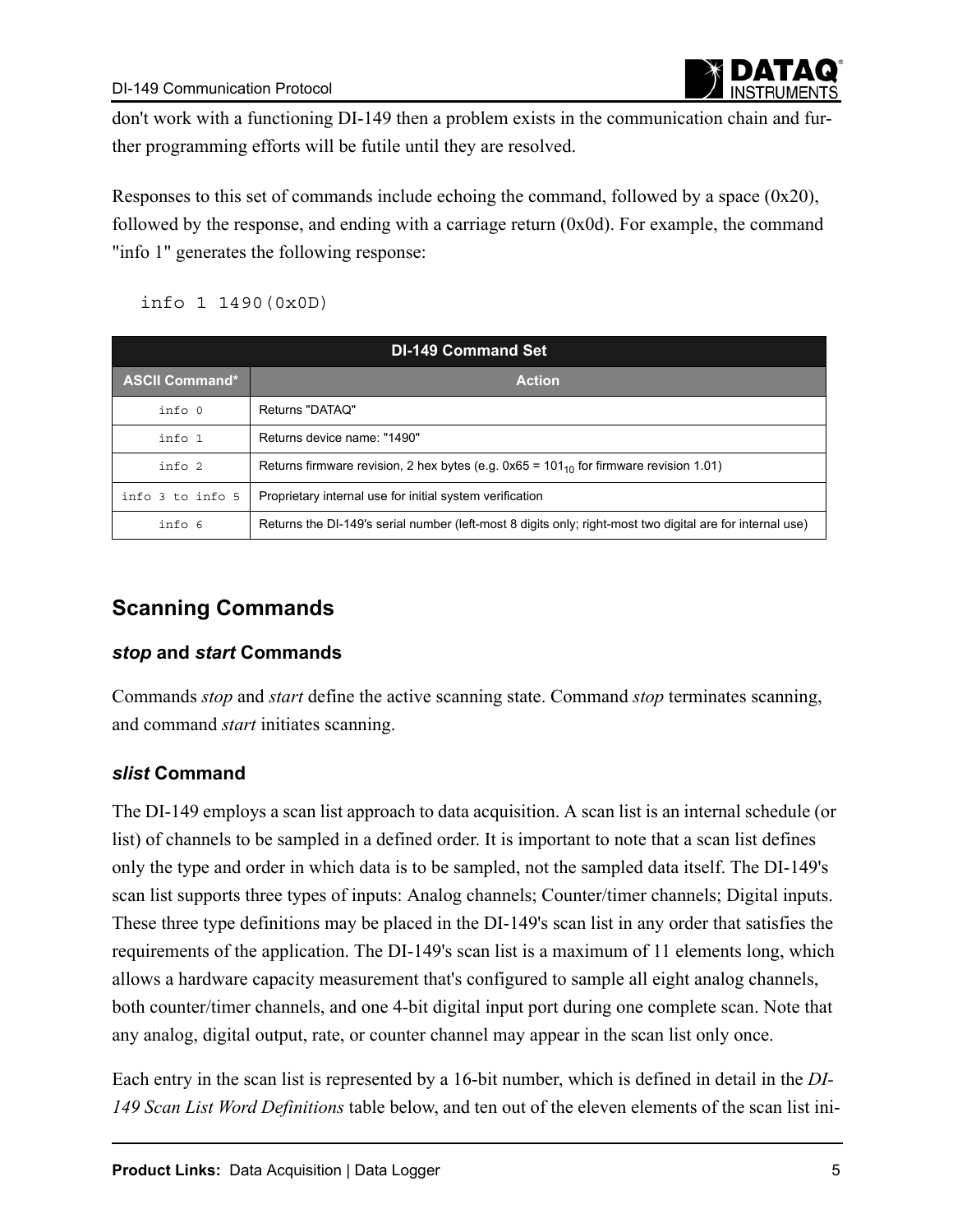

don't work with a functioning DI-149 then a problem exists in the communication chain and further programming efforts will be futile until they are resolved.

Responses to this set of commands include echoing the command, followed by a space (0x20), followed by the response, and ending with a carriage return (0x0d). For example, the command "info 1" generates the following response:

info 1 1490(0x0D)

| <b>DI-149 Command Set</b> |                                                                                                           |  |  |  |  |  |  |  |  |
|---------------------------|-----------------------------------------------------------------------------------------------------------|--|--|--|--|--|--|--|--|
| <b>ASCII Command*</b>     | <b>Action</b>                                                                                             |  |  |  |  |  |  |  |  |
| info 0                    | Returns "DATAQ"                                                                                           |  |  |  |  |  |  |  |  |
| info 1                    | Returns device name: "1490"                                                                               |  |  |  |  |  |  |  |  |
| info <sub>2</sub>         | Returns firmware revision, 2 hex bytes (e.g. $0x65 = 101_{10}$ for firmware revision 1.01)                |  |  |  |  |  |  |  |  |
| info 3 to info 5          | Proprietary internal use for initial system verification                                                  |  |  |  |  |  |  |  |  |
| info 6                    | Returns the DI-149's serial number (left-most 8 digits only; right-most two digital are for internal use) |  |  |  |  |  |  |  |  |

### **Scanning Commands**

#### *stop* **and** *start* **Commands**

Commands *stop* and *start* define the active scanning state. Command *stop* terminates scanning, and command *start* initiates scanning.

### *slist* **Command**

The DI-149 employs a scan list approach to data acquisition. A scan list is an internal schedule (or list) of channels to be sampled in a defined order. It is important to note that a scan list defines only the type and order in which data is to be sampled, not the sampled data itself. The DI-149's scan list supports three types of inputs: Analog channels; Counter/timer channels; Digital inputs. These three type definitions may be placed in the DI-149's scan list in any order that satisfies the requirements of the application. The DI-149's scan list is a maximum of 11 elements long, which allows a hardware capacity measurement that's configured to sample all eight analog channels, both counter/timer channels, and one 4-bit digital input port during one complete scan. Note that any analog, digital output, rate, or counter channel may appear in the scan list only once.

Each entry in the scan list is represented by a 16-bit number, which is defined in detail in the *DI-149 Scan List Word Definitions* table below, and ten out of the eleven elements of the scan list ini-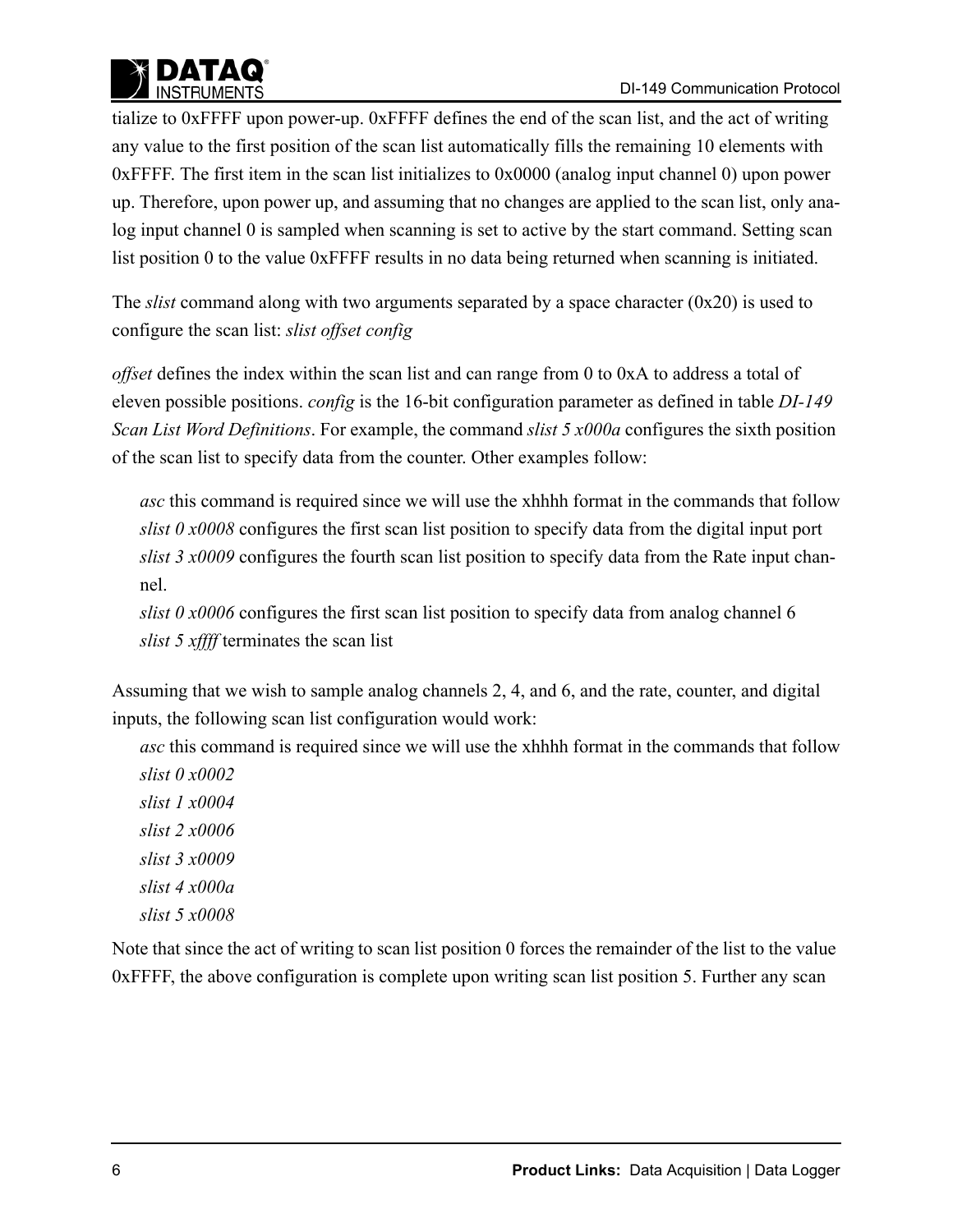

tialize to 0xFFFF upon power-up. 0xFFFF defines the end of the scan list, and the act of writing any value to the first position of the scan list automatically fills the remaining 10 elements with 0xFFFF. The first item in the scan list initializes to 0x0000 (analog input channel 0) upon power up. Therefore, upon power up, and assuming that no changes are applied to the scan list, only analog input channel 0 is sampled when scanning is set to active by the start command. Setting scan list position 0 to the value 0xFFFF results in no data being returned when scanning is initiated.

The *slist* command along with two arguments separated by a space character (0x20) is used to configure the scan list: *slist offset config*

*offset* defines the index within the scan list and can range from 0 to 0xA to address a total of eleven possible positions. *config* is the 16-bit configuration parameter as defined in table *DI-149 Scan List Word Definitions*. For example, the command *slist 5 x000a* configures the sixth position of the scan list to specify data from the counter. Other examples follow:

*asc* this command is required since we will use the xhhhh format in the commands that follow *slist 0 x0008* configures the first scan list position to specify data from the digital input port *slist 3 x0009* configures the fourth scan list position to specify data from the Rate input channel.

*slist 0 x0006* configures the first scan list position to specify data from analog channel 6 *slist 5 xffff* terminates the scan list

Assuming that we wish to sample analog channels 2, 4, and 6, and the rate, counter, and digital inputs, the following scan list configuration would work:

*asc* this command is required since we will use the xhhhh format in the commands that follow *slist 0 x0002*

*slist 1 x0004 slist 2 x0006 slist 3 x0009 slist 4 x000a slist 5 x0008*

Note that since the act of writing to scan list position 0 forces the remainder of the list to the value 0xFFFF, the above configuration is complete upon writing scan list position 5. Further any scan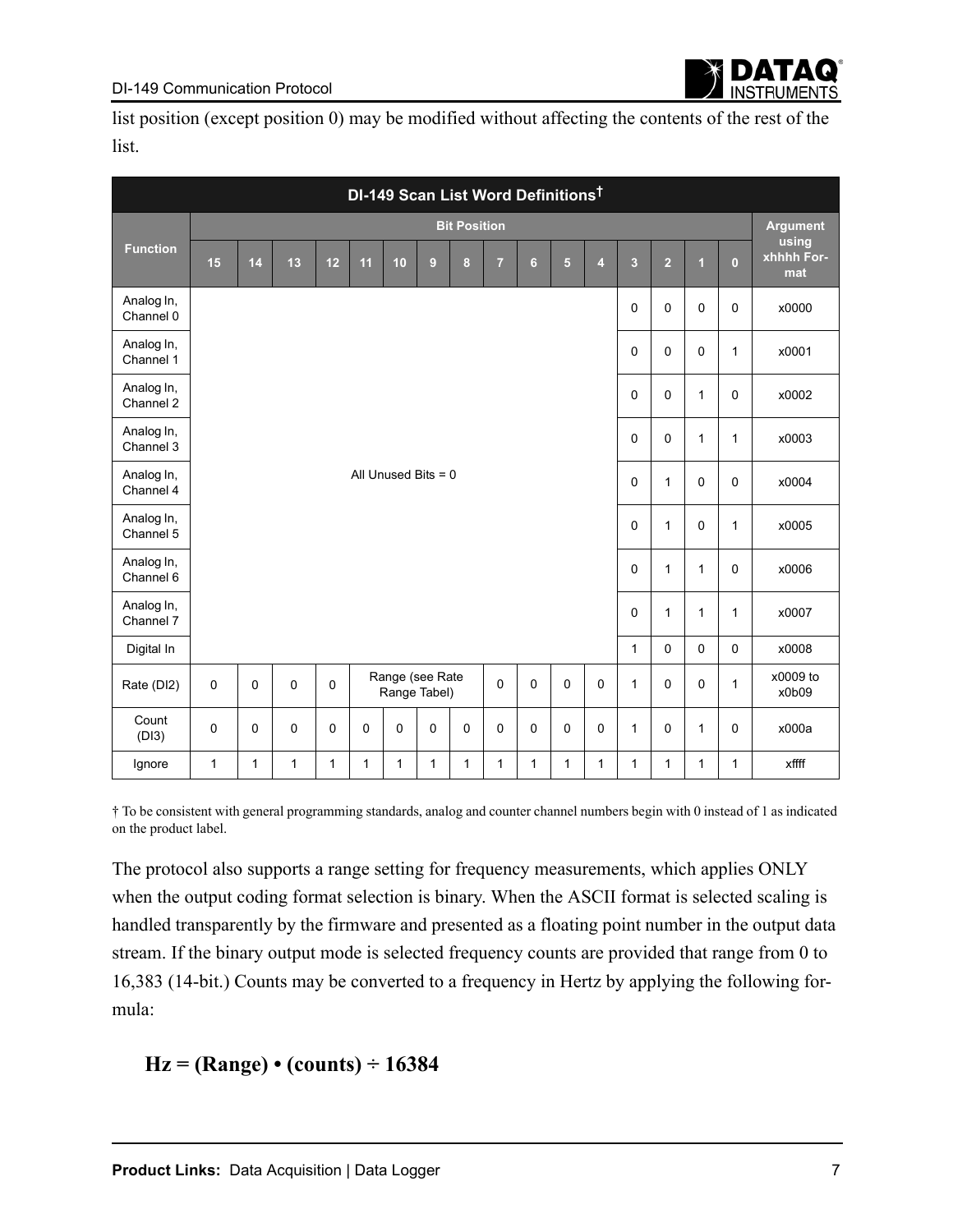list position (except position 0) may be modified without affecting the contents of the rest of the list.

| DI-149 Scan List Word Definitions <sup>t</sup> |             |                            |                                                                                                       |          |             |          |                       |             |                |                |             |                |                         |                 |                |                |                            |
|------------------------------------------------|-------------|----------------------------|-------------------------------------------------------------------------------------------------------|----------|-------------|----------|-----------------------|-------------|----------------|----------------|-------------|----------------|-------------------------|-----------------|----------------|----------------|----------------------------|
|                                                |             | <b>Bit Position</b>        |                                                                                                       |          |             |          |                       |             |                |                |             |                |                         | <b>Argument</b> |                |                |                            |
| <b>Function</b>                                | 15          | 14                         | 13                                                                                                    | 12       | 11          | 10       | $\boldsymbol{9}$      | $\bf{8}$    | $\overline{7}$ | $6\phantom{a}$ | 5           | $\overline{4}$ | $\overline{\mathbf{3}}$ | $\overline{2}$  | $\overline{1}$ | $\overline{0}$ | using<br>xhhhh For-<br>mat |
| Analog In,<br>Channel 0                        |             |                            |                                                                                                       |          |             |          |                       |             |                |                |             |                | 0                       | $\mathbf 0$     | 0              | $\mathsf 0$    | x0000                      |
| Analog In,<br>Channel 1                        |             | 0<br>$\mathbf 0$<br>0<br>1 |                                                                                                       |          |             |          |                       |             |                |                |             |                | x0001                   |                 |                |                |                            |
| Analog In,<br>Channel 2                        |             |                            |                                                                                                       |          |             |          |                       |             |                |                |             | $\mathbf 0$    | $\mathbf 0$             | $\mathbf{1}$    | $\mathbf 0$    | x0002          |                            |
| Analog In,<br>Channel 3                        |             | 0                          |                                                                                                       |          |             |          |                       |             |                |                |             | $\mathbf 0$    | $\mathbf{1}$            | 1               | x0003          |                |                            |
| Analog In,<br>Channel 4                        |             |                            |                                                                                                       |          |             |          | All Unused Bits $= 0$ |             |                |                |             |                | 0                       | $\mathbf{1}$    | $\mathbf 0$    | $\mathbf 0$    | x0004                      |
| Analog In,<br>Channel 5                        |             |                            |                                                                                                       |          |             |          |                       |             |                |                |             |                | $\mathbf 0$             | $\mathbf{1}$    | 0              | $\mathbf{1}$   | x0005                      |
| Analog In,<br>Channel 6                        |             |                            |                                                                                                       |          |             |          |                       |             |                |                |             |                | 0                       | $\mathbf{1}$    | 1              | $\mathbf 0$    | x0006                      |
| Analog In,<br>Channel 7                        |             |                            |                                                                                                       |          |             |          |                       |             |                |                |             |                | 0                       | 1               | 1              | 1              | x0007                      |
| Digital In                                     |             |                            |                                                                                                       |          |             |          |                       |             |                |                |             |                | $\mathbf{1}$            | $\mathbf 0$     | $\mathbf 0$    | $\mathbf 0$    | x0008                      |
| Rate (DI2)                                     | $\pmb{0}$   | $\mathbf 0$                | Range (see Rate<br>0<br>$\mathbf 0$<br>$\mathbf 0$<br>$\mathbf 0$<br>0<br>$\mathbf 0$<br>Range Tabel) |          |             |          |                       |             | $\mathbf{1}$   | $\mathbf 0$    | $\mathbf 0$ | 1              | x0009 to<br>x0b09       |                 |                |                |                            |
| Count<br>(DI3)                                 | $\mathbf 0$ | $\Omega$                   | $\Omega$                                                                                              | $\Omega$ | $\mathbf 0$ | $\Omega$ | $\mathbf 0$           | $\mathbf 0$ | $\mathbf 0$    | $\Omega$       | $\Omega$    | $\mathbf 0$    | $\mathbf{1}$            | $\mathbf 0$     | $\mathbf{1}$   | $\mathbf 0$    | x000a                      |
| Ignore                                         | 1           | 1                          | 1                                                                                                     | 1        | 1           | 1        | 1                     | 1           | 1              | 1              | 1           | 1              | 1                       | 1               | 1              | 1              | xffff                      |

† To be consistent with general programming standards, analog and counter channel numbers begin with 0 instead of 1 as indicated on the product label.

The protocol also supports a range setting for frequency measurements, which applies ONLY when the output coding format selection is binary. When the ASCII format is selected scaling is handled transparently by the firmware and presented as a floating point number in the output data stream. If the binary output mode is selected frequency counts are provided that range from 0 to 16,383 (14-bit.) Counts may be converted to a frequency in Hertz by applying the following formula:

### **Hz = (Range) • (counts) ÷ 16384**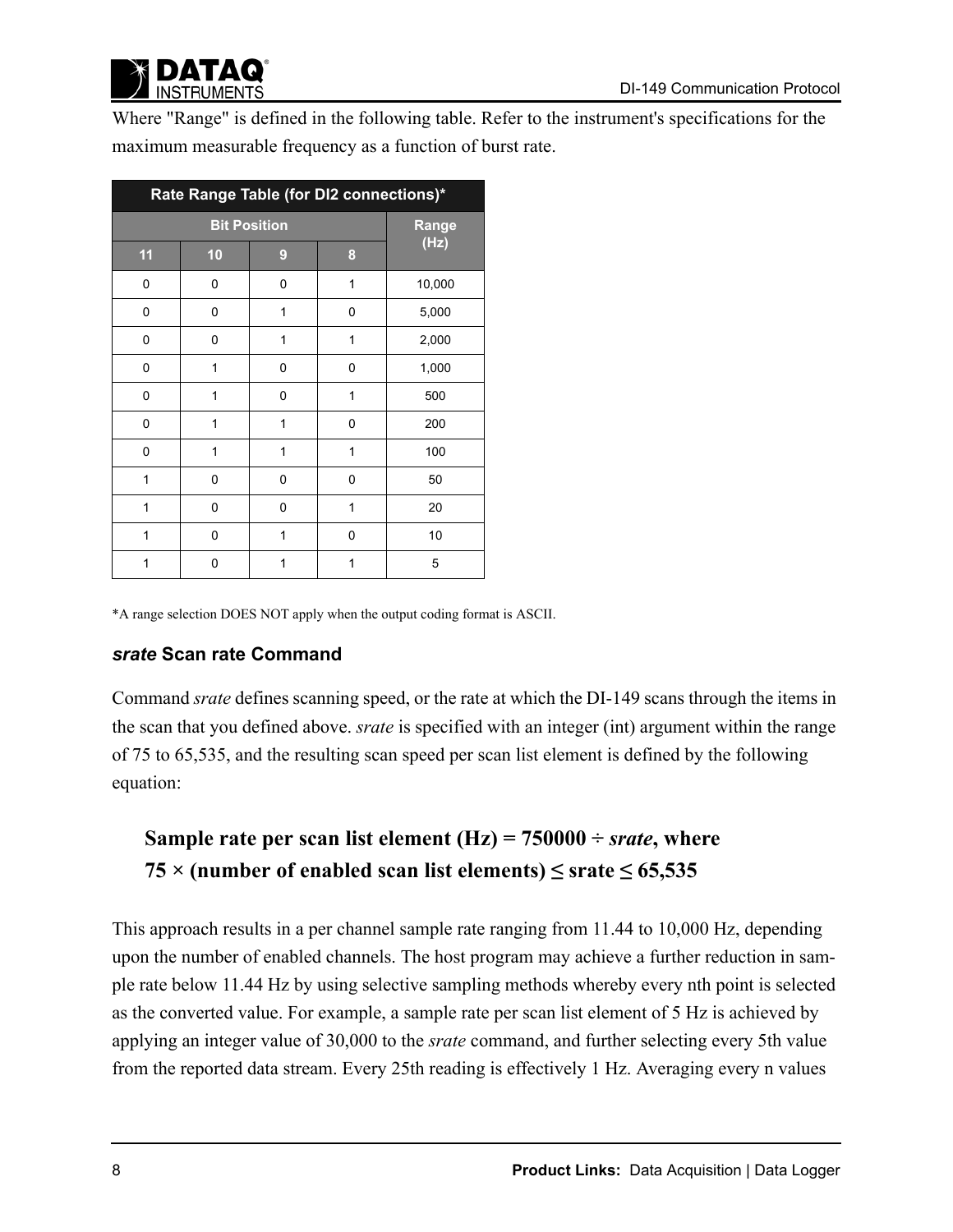

Where "Range" is defined in the following table. Refer to the instrument's specifications for the maximum measurable frequency as a function of burst rate.

| Rate Range Table (for DI2 connections)* |       |   |   |        |  |  |  |  |  |
|-----------------------------------------|-------|---|---|--------|--|--|--|--|--|
|                                         | Range |   |   |        |  |  |  |  |  |
| 11                                      | 10    | 9 | 8 | (Hz)   |  |  |  |  |  |
| 0                                       | 0     | 0 | 1 | 10,000 |  |  |  |  |  |
| 0                                       | 0     | 1 | 0 | 5,000  |  |  |  |  |  |
| 0                                       | 0     | 1 | 1 | 2,000  |  |  |  |  |  |
| 0                                       | 1     | 0 | 0 | 1,000  |  |  |  |  |  |
| 0                                       | 1     | 0 | 1 | 500    |  |  |  |  |  |
| 0                                       | 1     | 1 | 0 | 200    |  |  |  |  |  |
| 0                                       | 1     | 1 | 1 | 100    |  |  |  |  |  |
| 1                                       | 0     | 0 | 0 | 50     |  |  |  |  |  |
| 1                                       | 0     | 0 | 1 | 20     |  |  |  |  |  |
| 1                                       | 0     | 1 | 0 | 10     |  |  |  |  |  |
| 1                                       | 0     | 1 | 1 | 5      |  |  |  |  |  |

\*A range selection DOES NOT apply when the output coding format is ASCII.

#### *srate* **Scan rate Command**

Command *srate* defines scanning speed, or the rate at which the DI-149 scans through the items in the scan that you defined above. *srate* is specified with an integer (int) argument within the range of 75 to 65,535, and the resulting scan speed per scan list element is defined by the following equation:

# **Sample rate per scan list element (Hz) =**  $750000 \div$ *srate***, where** 75  $\times$  (number of enabled scan list elements)  $\leq$  srate  $\leq$  65,535

This approach results in a per channel sample rate ranging from 11.44 to 10,000 Hz, depending upon the number of enabled channels. The host program may achieve a further reduction in sample rate below 11.44 Hz by using selective sampling methods whereby every nth point is selected as the converted value. For example, a sample rate per scan list element of 5 Hz is achieved by applying an integer value of 30,000 to the *srate* command, and further selecting every 5th value from the reported data stream. Every 25th reading is effectively 1 Hz. Averaging every n values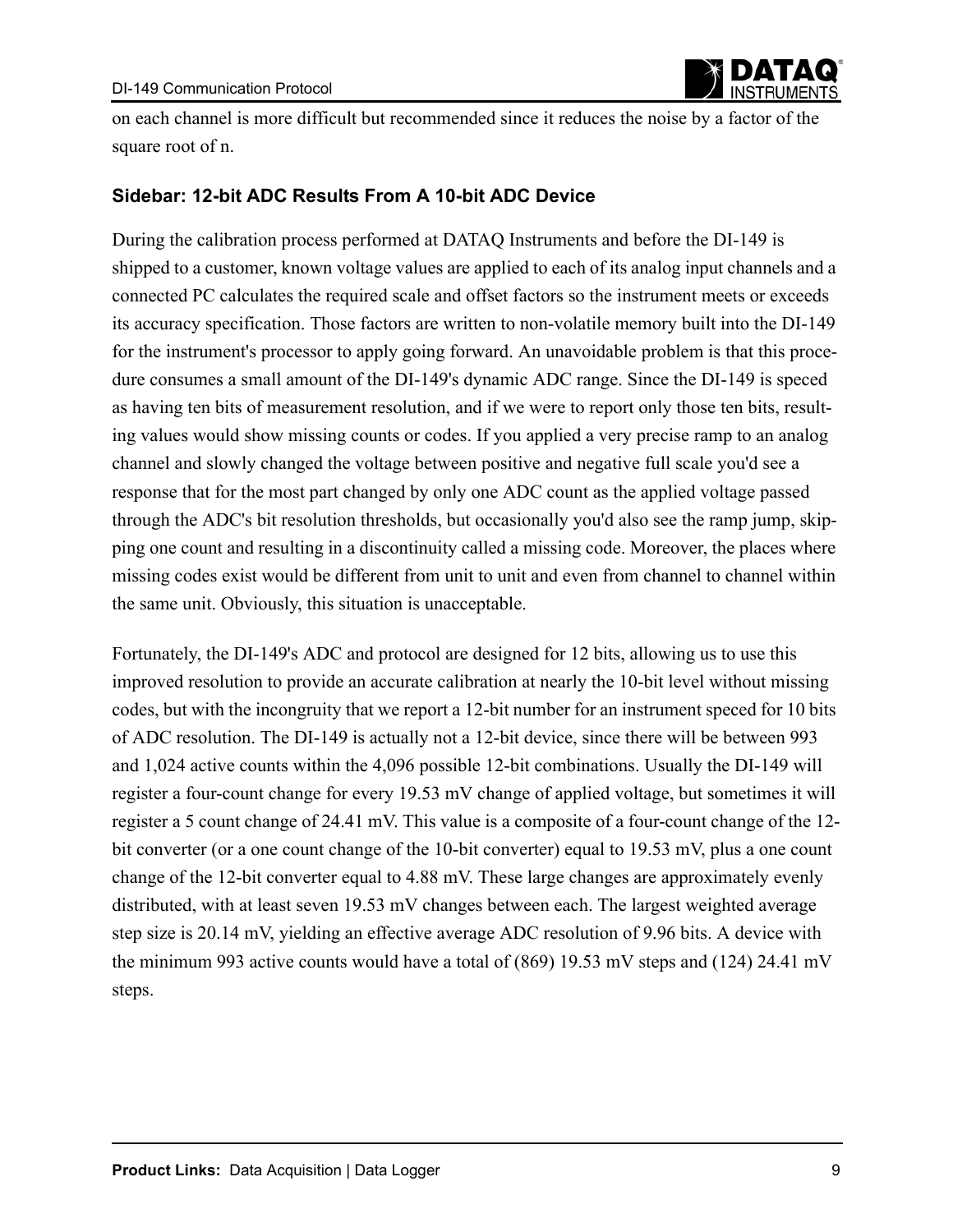

on each channel is more difficult but recommended since it reduces the noise by a factor of the square root of n.

### **Sidebar: 12-bit ADC Results From A 10-bit ADC Device**

During the calibration process performed at DATAQ Instruments and before the DI-149 is shipped to a customer, known voltage values are applied to each of its analog input channels and a connected PC calculates the required scale and offset factors so the instrument meets or exceeds its accuracy specification. Those factors are written to non-volatile memory built into the DI-149 for the instrument's processor to apply going forward. An unavoidable problem is that this procedure consumes a small amount of the DI-149's dynamic ADC range. Since the DI-149 is speced as having ten bits of measurement resolution, and if we were to report only those ten bits, resulting values would show missing counts or codes. If you applied a very precise ramp to an analog channel and slowly changed the voltage between positive and negative full scale you'd see a response that for the most part changed by only one ADC count as the applied voltage passed through the ADC's bit resolution thresholds, but occasionally you'd also see the ramp jump, skipping one count and resulting in a discontinuity called a missing code. Moreover, the places where missing codes exist would be different from unit to unit and even from channel to channel within the same unit. Obviously, this situation is unacceptable.

Fortunately, the DI-149's ADC and protocol are designed for 12 bits, allowing us to use this improved resolution to provide an accurate calibration at nearly the 10-bit level without missing codes, but with the incongruity that we report a 12-bit number for an instrument speced for 10 bits of ADC resolution. The DI-149 is actually not a 12-bit device, since there will be between 993 and 1,024 active counts within the 4,096 possible 12-bit combinations. Usually the DI-149 will register a four-count change for every 19.53 mV change of applied voltage, but sometimes it will register a 5 count change of 24.41 mV. This value is a composite of a four-count change of the 12 bit converter (or a one count change of the 10-bit converter) equal to 19.53 mV, plus a one count change of the 12-bit converter equal to 4.88 mV. These large changes are approximately evenly distributed, with at least seven 19.53 mV changes between each. The largest weighted average step size is 20.14 mV, yielding an effective average ADC resolution of 9.96 bits. A device with the minimum 993 active counts would have a total of (869) 19.53 mV steps and (124) 24.41 mV steps.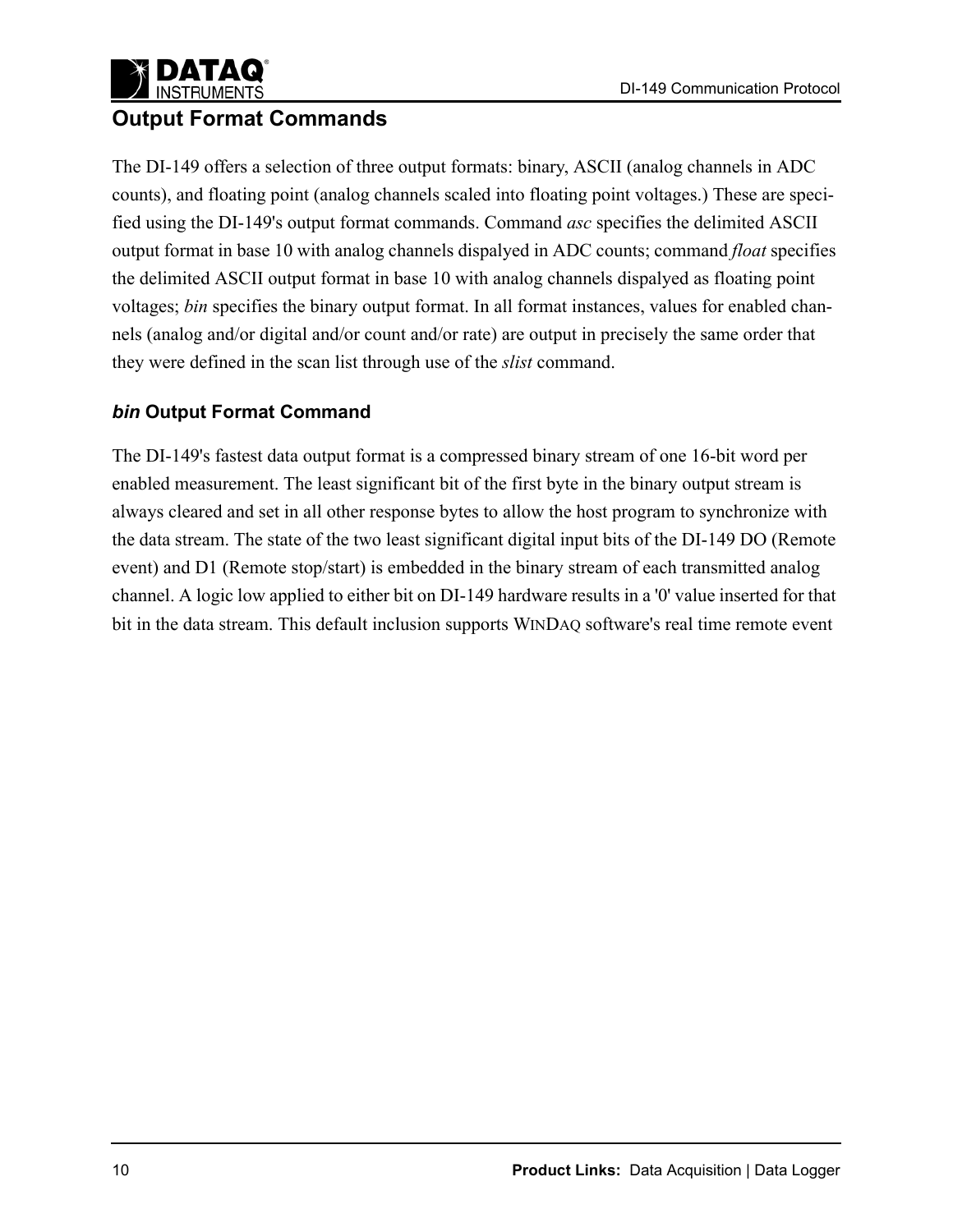### **INSTRUMENTS Output Format Commands**

The DI-149 offers a selection of three output formats: binary, ASCII (analog channels in ADC counts), and floating point (analog channels scaled into floating point voltages.) These are specified using the DI-149's output format commands. Command *asc* specifies the delimited ASCII output format in base 10 with analog channels dispalyed in ADC counts; command *float* specifies the delimited ASCII output format in base 10 with analog channels dispalyed as floating point voltages; *bin* specifies the binary output format. In all format instances, values for enabled channels (analog and/or digital and/or count and/or rate) are output in precisely the same order that they were defined in the scan list through use of the *slist* command.

### *bin* **Output Format Command**

The DI-149's fastest data output format is a compressed binary stream of one 16-bit word per enabled measurement. The least significant bit of the first byte in the binary output stream is always cleared and set in all other response bytes to allow the host program to synchronize with the data stream. The state of the two least significant digital input bits of the DI-149 DO (Remote event) and D1 (Remote stop/start) is embedded in the binary stream of each transmitted analog channel. A logic low applied to either bit on DI-149 hardware results in a '0' value inserted for that bit in the data stream. This default inclusion supports WINDAQ software's real time remote event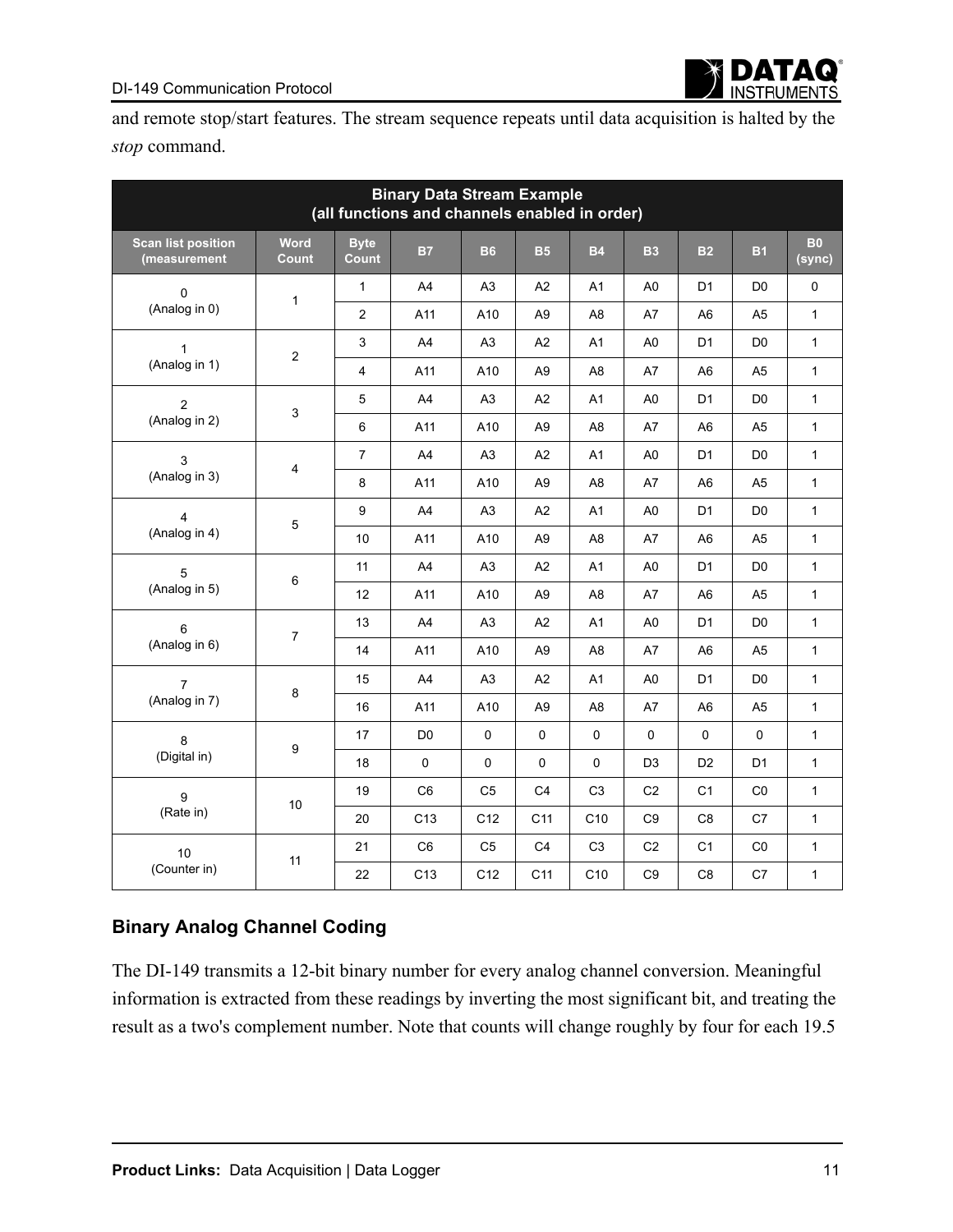and remote stop/start features. The stream sequence repeats until data acquisition is halted by the *stop* command.

| <b>Binary Data Stream Example</b><br>(all functions and channels enabled in order) |                      |                      |                 |                |                 |                |                |                |                |                     |
|------------------------------------------------------------------------------------|----------------------|----------------------|-----------------|----------------|-----------------|----------------|----------------|----------------|----------------|---------------------|
| <b>Scan list position</b><br>(measurement                                          | Word<br><b>Count</b> | <b>Byte</b><br>Count | <b>B7</b>       | <b>B6</b>      | <b>B5</b>       | <b>B4</b>      | <b>B3</b>      | <b>B2</b>      | <b>B1</b>      | <b>B0</b><br>(sync) |
| $\Omega$                                                                           |                      | $\mathbf{1}$         | A4              | A <sub>3</sub> | A2              | A1             | A <sub>0</sub> | D <sub>1</sub> | D <sub>0</sub> | 0                   |
| (Analog in 0)                                                                      | $\mathbf{1}$         | $\overline{c}$       | A11             | A10            | A <sub>9</sub>  | A <sub>8</sub> | A7             | A <sub>6</sub> | A <sub>5</sub> | $\mathbf{1}$        |
| 1                                                                                  |                      | 3                    | A4              | A <sub>3</sub> | A2              | A1             | A <sub>0</sub> | D <sub>1</sub> | D <sub>0</sub> | $\mathbf{1}$        |
| (Analog in 1)                                                                      | $\overline{2}$       | $\overline{4}$       | A11             | A10            | A <sub>9</sub>  | A <sub>8</sub> | A7             | A <sub>6</sub> | A <sub>5</sub> | $\mathbf{1}$        |
| $\overline{2}$                                                                     |                      | 5                    | A4              | A <sub>3</sub> | A2              | A1             | A <sub>0</sub> | D <sub>1</sub> | D <sub>0</sub> | $\mathbf{1}$        |
| (Analog in 2)                                                                      | 3                    | 6                    | A11             | A10            | A <sub>9</sub>  | A <sub>8</sub> | A7             | A <sub>6</sub> | A <sub>5</sub> | $\mathbf{1}$        |
| 3                                                                                  |                      | $\overline{7}$       | A4              | A <sub>3</sub> | A2              | A1             | A <sub>0</sub> | D <sub>1</sub> | D <sub>0</sub> | 1                   |
| (Analog in 3)                                                                      | 4                    | 8                    | A11             | A10            | A <sub>9</sub>  | A <sub>8</sub> | A7             | A <sub>6</sub> | A5             | 1                   |
| 4                                                                                  |                      | 9                    | A4              | A <sub>3</sub> | A2              | A1             | A <sub>0</sub> | D <sub>1</sub> | D <sub>0</sub> | $\mathbf{1}$        |
| (Analog in 4)                                                                      | 5                    | 10                   | A11             | A10            | A <sub>9</sub>  | A <sub>8</sub> | A7             | A <sub>6</sub> | A <sub>5</sub> | $\mathbf{1}$        |
| 5                                                                                  | 6                    | 11                   | A4              | A <sub>3</sub> | A2              | A1             | A <sub>0</sub> | D <sub>1</sub> | D <sub>0</sub> | $\mathbf{1}$        |
| (Analog in 5)                                                                      |                      | 12                   | A11             | A10            | A <sub>9</sub>  | A <sub>8</sub> | A7             | A <sub>6</sub> | A <sub>5</sub> | $\mathbf{1}$        |
| 6                                                                                  | $\overline{7}$       | 13                   | A4              | A <sub>3</sub> | A <sub>2</sub>  | A <sub>1</sub> | A <sub>0</sub> | D <sub>1</sub> | D <sub>0</sub> | $\mathbf{1}$        |
| (Analog in 6)                                                                      |                      | 14                   | A11             | A10            | A <sub>9</sub>  | A <sub>8</sub> | A7             | A <sub>6</sub> | A <sub>5</sub> | $\mathbf{1}$        |
| $\overline{7}$                                                                     |                      | 15                   | A4              | A <sub>3</sub> | A <sub>2</sub>  | A1             | A <sub>0</sub> | D <sub>1</sub> | D <sub>0</sub> | 1                   |
| (Analog in 7)                                                                      | 8                    | 16                   | A11             | A10            | A <sub>9</sub>  | A <sub>8</sub> | A7             | A <sub>6</sub> | A5             | $\mathbf{1}$        |
| 8                                                                                  |                      | 17                   | D <sub>0</sub>  | $\pmb{0}$      | $\mathbf 0$     | $\mathbf 0$    | $\Omega$       | $\Omega$       | 0              | $\mathbf{1}$        |
| (Digital in)                                                                       | 9                    | 18                   | $\pmb{0}$       | 0              | 0               | $\mathbf 0$    | D <sub>3</sub> | D <sub>2</sub> | D <sub>1</sub> | $\mathbf{1}$        |
| 9                                                                                  |                      | 19                   | C <sub>6</sub>  | C <sub>5</sub> | C <sub>4</sub>  | C <sub>3</sub> | C <sub>2</sub> | C <sub>1</sub> | CO             | $\mathbf{1}$        |
| (Rate in)                                                                          | 10                   | 20                   | C <sub>13</sub> | C12            | C <sub>11</sub> | C10            | C <sub>9</sub> | C <sub>8</sub> | C7             | 1                   |
| 10                                                                                 |                      | 21                   | C <sub>6</sub>  | C <sub>5</sub> | C <sub>4</sub>  | C <sub>3</sub> | C <sub>2</sub> | C <sub>1</sub> | CO             | 1                   |
| (Counter in)                                                                       | 11                   | 22                   | C <sub>13</sub> | C12            | C11             | C10            | C <sub>9</sub> | C <sub>8</sub> | C7             | $\mathbf{1}$        |

### **Binary Analog Channel Coding**

The DI-149 transmits a 12-bit binary number for every analog channel conversion. Meaningful information is extracted from these readings by inverting the most significant bit, and treating the result as a two's complement number. Note that counts will change roughly by four for each 19.5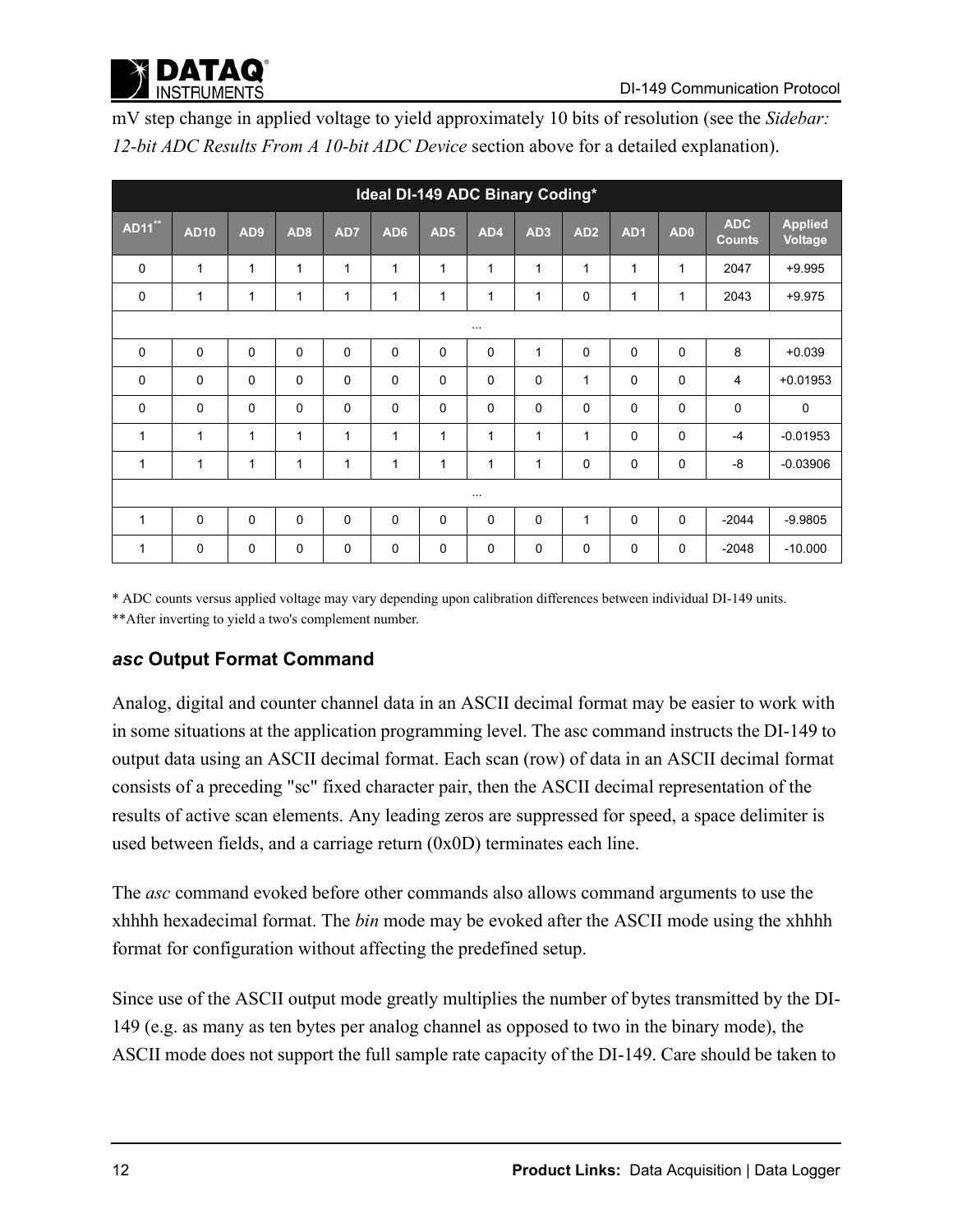

| Ideal DI-149 ADC Binary Coding* |             |                 |                 |     |             |                 |              |                 |                 |                 |                 |                             |                                  |
|---------------------------------|-------------|-----------------|-----------------|-----|-------------|-----------------|--------------|-----------------|-----------------|-----------------|-----------------|-----------------------------|----------------------------------|
| <b>AD11</b> **                  | <b>AD10</b> | AD <sub>9</sub> | AD <sub>8</sub> | AD7 | AD6         | AD <sub>5</sub> | AD4          | AD <sub>3</sub> | AD <sub>2</sub> | AD <sub>1</sub> | AD <sub>0</sub> | <b>ADC</b><br><b>Counts</b> | <b>Applied</b><br><b>Voltage</b> |
| 0                               | 1           | 1               | 1               | 1   | 1           | 1               | $\mathbf{1}$ | 1               | $\mathbf{1}$    | $\mathbf{1}$    | 1               | 2047                        | $+9.995$                         |
| 0                               | 1           | 1               | 1               | 1   | 1           | 1               | 1            | 1               | $\mathbf 0$     | 1               | 1               | 2043                        | $+9.975$                         |
|                                 | $\cdots$    |                 |                 |     |             |                 |              |                 |                 |                 |                 |                             |                                  |
| 0                               | 0           | $\mathbf 0$     | 0               | 0   | $\mathbf 0$ | 0               | $\Omega$     | 1               | $\mathbf 0$     | $\mathbf 0$     | $\mathbf 0$     | 8                           | $+0.039$                         |
| 0                               | $\mathbf 0$ | $\mathbf 0$     | $\mathbf 0$     | 0   | 0           | 0               | $\mathbf 0$  | 0               | 1               | $\mathbf 0$     | 0               | 4                           | $+0.01953$                       |
| 0                               | $\mathbf 0$ | $\mathbf 0$     | $\mathbf{0}$    | 0   | $\Omega$    | $\mathbf 0$     | $\Omega$     | 0               | $\mathbf 0$     | $\mathbf 0$     | $\mathbf 0$     | $\mathbf 0$                 | $\mathbf 0$                      |
| 1                               | 1           | 1               | 1               | 1   | 1           | 1               | $\mathbf{1}$ | $\mathbf{1}$    | $\mathbf{1}$    | $\Omega$        | $\mathbf 0$     | $-4$                        | $-0.01953$                       |
| 1                               | 1           | $\mathbf{1}$    | 1               | 1   | 1           | 1               | $\mathbf{1}$ | $\mathbf{1}$    | $\mathbf 0$     | 0               | $\mathbf 0$     | -8                          | $-0.03906$                       |
| $\cdots$                        |             |                 |                 |     |             |                 |              |                 |                 |                 |                 |                             |                                  |
| $\mathbf{1}$                    | 0           | $\mathbf 0$     | $\Omega$        | 0   | $\Omega$    | $\Omega$        | $\Omega$     | 0               | 1               | $\mathbf 0$     | $\Omega$        | $-2044$                     | $-9.9805$                        |
| 1                               | 0           | 0               | $\mathbf 0$     | 0   | $\Omega$    | $\mathbf 0$     | $\Omega$     | 0               | $\mathbf 0$     | 0               | $\mathbf 0$     | $-2048$                     | $-10.000$                        |

mV step change in applied voltage to yield approximately 10 bits of resolution (see the *Sidebar: 12-bit ADC Results From A 10-bit ADC Device* section above for a detailed explanation).

\* ADC counts versus applied voltage may vary depending upon calibration differences between individual DI-149 units. \*\*After inverting to yield a two's complement number.

### *asc* **Output Format Command**

Analog, digital and counter channel data in an ASCII decimal format may be easier to work with in some situations at the application programming level. The asc command instructs the DI-149 to output data using an ASCII decimal format. Each scan (row) of data in an ASCII decimal format consists of a preceding "sc" fixed character pair, then the ASCII decimal representation of the results of active scan elements. Any leading zeros are suppressed for speed, a space delimiter is used between fields, and a carriage return (0x0D) terminates each line.

The *asc* command evoked before other commands also allows command arguments to use the xhhhh hexadecimal format. The *bin* mode may be evoked after the ASCII mode using the xhhhh format for configuration without affecting the predefined setup.

Since use of the ASCII output mode greatly multiplies the number of bytes transmitted by the DI-149 (e.g. as many as ten bytes per analog channel as opposed to two in the binary mode), the ASCII mode does not support the full sample rate capacity of the DI-149. Care should be taken to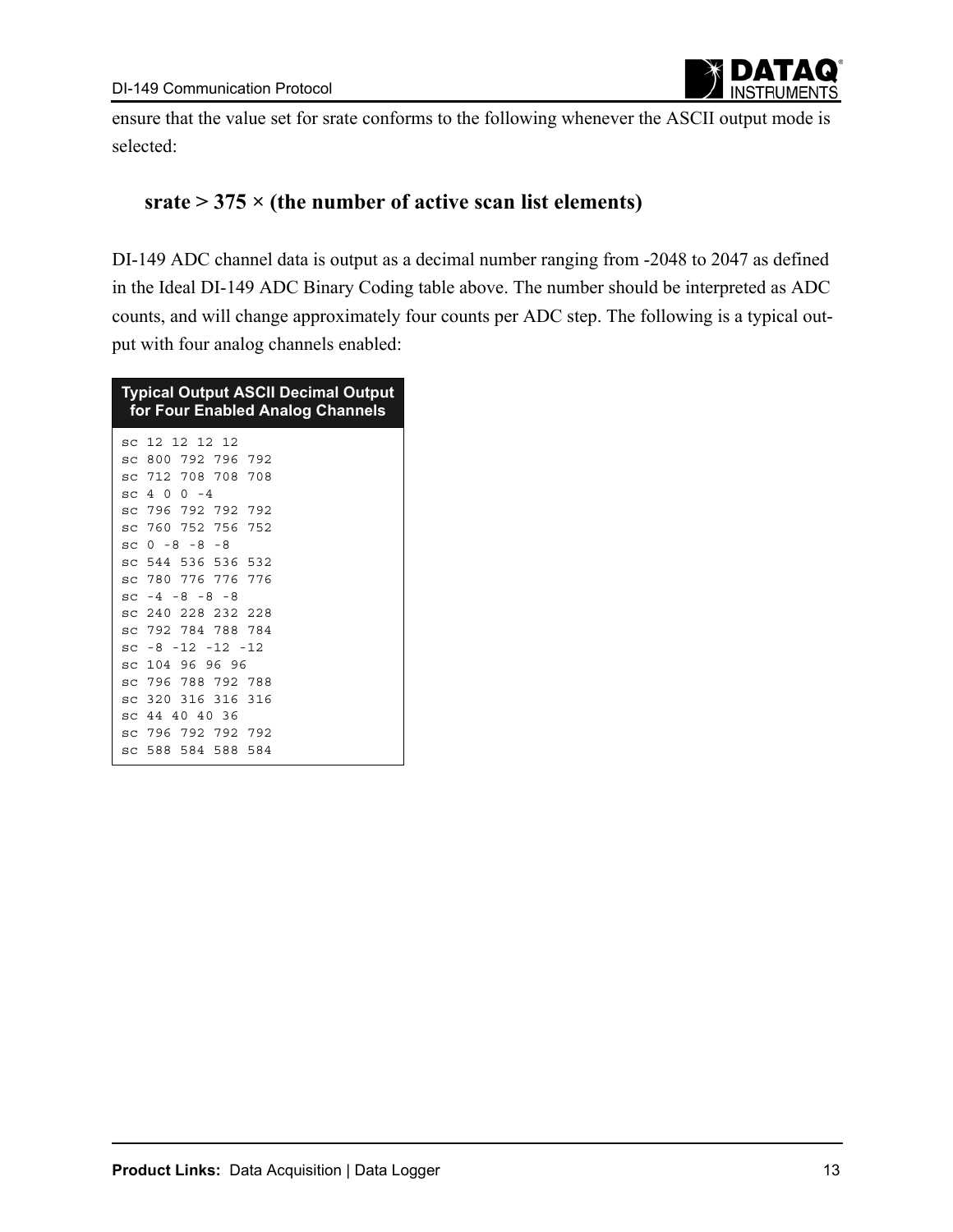

ensure that the value set for srate conforms to the following whenever the ASCII output mode is selected:

### **srate > 375 × (the number of active scan list elements)**

DI-149 ADC channel data is output as a decimal number ranging from -2048 to 2047 as defined in the Ideal DI-149 ADC Binary Coding table above. The number should be interpreted as ADC counts, and will change approximately four counts per ADC step. The following is a typical output with four analog channels enabled:

| <b>Typical Output ASCII Decimal Output</b><br>for Four Enabled Analog Channels |
|--------------------------------------------------------------------------------|
| sc 12 12 12 12                                                                 |
| sc 800 792 796 792                                                             |
| sc 712 708 708 708                                                             |
| $\,$ sc 4 0 0 -4                                                               |
| sc 796 792 792 792                                                             |
| sc 760 752 756 752                                                             |
| $SC_0 - 8 - 8 - 8$                                                             |
| sc 544 536 536 532                                                             |
| sc 780 776 776 776                                                             |
| $SC - 4 - 8 - 8 - 8$                                                           |
| sc 240 228 232 228                                                             |
| sc 792 784 788 784                                                             |
| $sc -8 -12 -12 -12$                                                            |
| sc 104 96 96 96                                                                |
| sc 796 788 792 788                                                             |
| sc 320 316 316 316                                                             |
| sc 44 40 40 36                                                                 |
| sc 796 792 792 792                                                             |
| sc 588 584 588 584                                                             |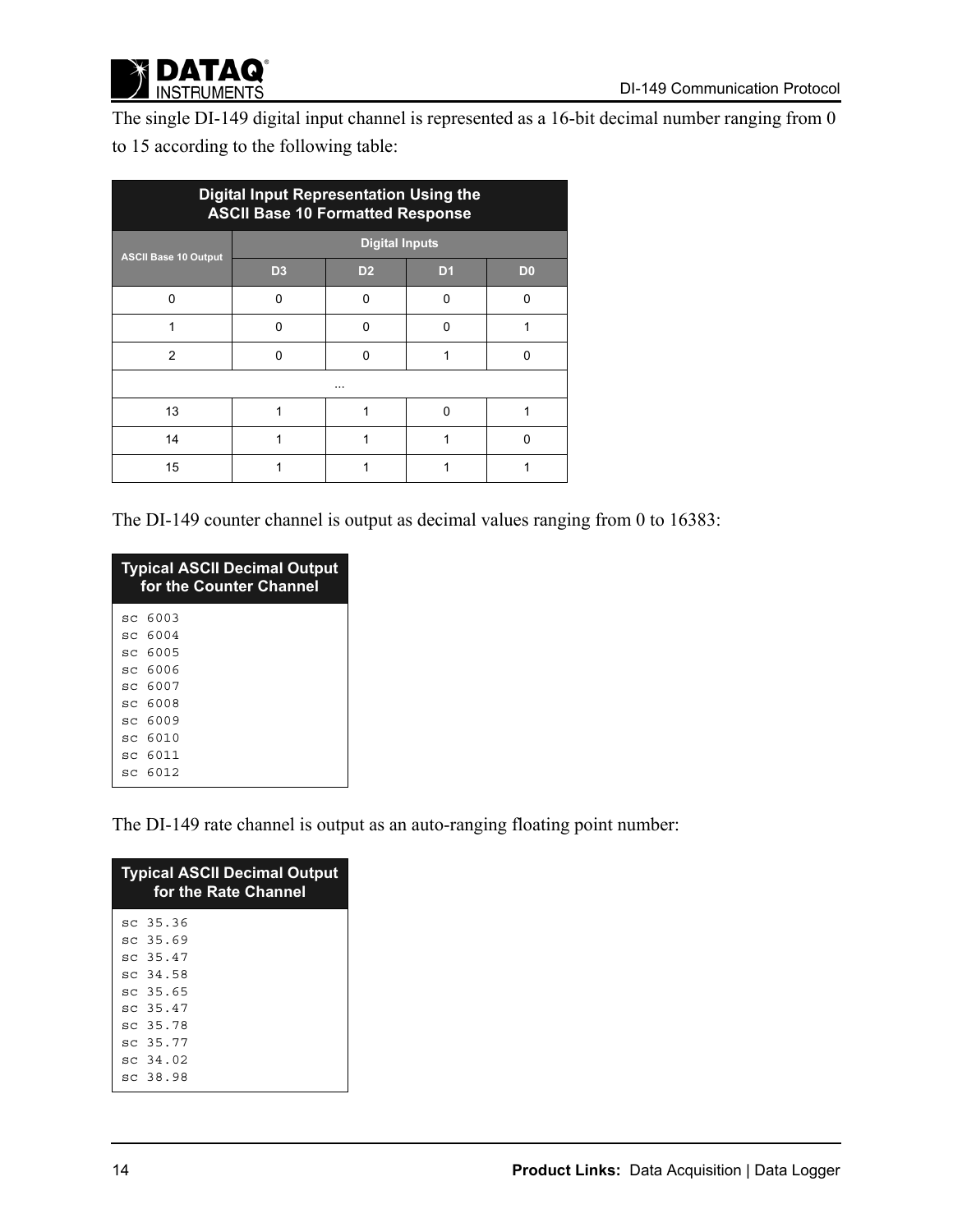

The single DI-149 digital input channel is represented as a 16-bit decimal number ranging from 0 to 15 according to the following table:

| <b>Digital Input Representation Using the</b><br><b>ASCII Base 10 Formatted Response</b> |                |                       |                |                |  |  |  |  |  |
|------------------------------------------------------------------------------------------|----------------|-----------------------|----------------|----------------|--|--|--|--|--|
| <b>ASCII Base 10 Output</b>                                                              |                | <b>Digital Inputs</b> |                |                |  |  |  |  |  |
|                                                                                          | D <sub>3</sub> | D <sub>2</sub>        | D <sub>1</sub> | D <sub>0</sub> |  |  |  |  |  |
| ŋ                                                                                        | U              | ŋ                     | ŋ              | O              |  |  |  |  |  |
|                                                                                          | n              | O                     | n              |                |  |  |  |  |  |
| 2                                                                                        | n              | 0                     |                | 0              |  |  |  |  |  |
|                                                                                          | $\cdots$       |                       |                |                |  |  |  |  |  |
| 13                                                                                       |                |                       | n              |                |  |  |  |  |  |
| 14                                                                                       |                |                       |                | O              |  |  |  |  |  |
| 15                                                                                       |                |                       |                |                |  |  |  |  |  |

The DI-149 counter channel is output as decimal values ranging from 0 to 16383:

| <b>Typical ASCII Decimal Output</b><br>for the Counter Channel |         |  |  |  |  |  |  |  |  |
|----------------------------------------------------------------|---------|--|--|--|--|--|--|--|--|
|                                                                | sc 6003 |  |  |  |  |  |  |  |  |
|                                                                | sc 6004 |  |  |  |  |  |  |  |  |
|                                                                | sc 6005 |  |  |  |  |  |  |  |  |
|                                                                | sc 6006 |  |  |  |  |  |  |  |  |
|                                                                | sc 6007 |  |  |  |  |  |  |  |  |
|                                                                | sc 6008 |  |  |  |  |  |  |  |  |
|                                                                | sc 6009 |  |  |  |  |  |  |  |  |
|                                                                | sc 6010 |  |  |  |  |  |  |  |  |
|                                                                | sc 6011 |  |  |  |  |  |  |  |  |
|                                                                | sc 6012 |  |  |  |  |  |  |  |  |
|                                                                |         |  |  |  |  |  |  |  |  |

The DI-149 rate channel is output as an auto-ranging floating point number:

| <b>Typical ASCII Decimal Output</b><br>for the Rate Channel |  |  |  |  |  |  |  |  |  |
|-------------------------------------------------------------|--|--|--|--|--|--|--|--|--|
| sc 35.36                                                    |  |  |  |  |  |  |  |  |  |
| sc 35.69                                                    |  |  |  |  |  |  |  |  |  |
| sc 35.47                                                    |  |  |  |  |  |  |  |  |  |
| sc 34.58                                                    |  |  |  |  |  |  |  |  |  |
| sc 35.65                                                    |  |  |  |  |  |  |  |  |  |
| sc 35.47                                                    |  |  |  |  |  |  |  |  |  |
| sc 35.78                                                    |  |  |  |  |  |  |  |  |  |
| sc 35.77                                                    |  |  |  |  |  |  |  |  |  |
| sc 34.02                                                    |  |  |  |  |  |  |  |  |  |
| sc 38.98                                                    |  |  |  |  |  |  |  |  |  |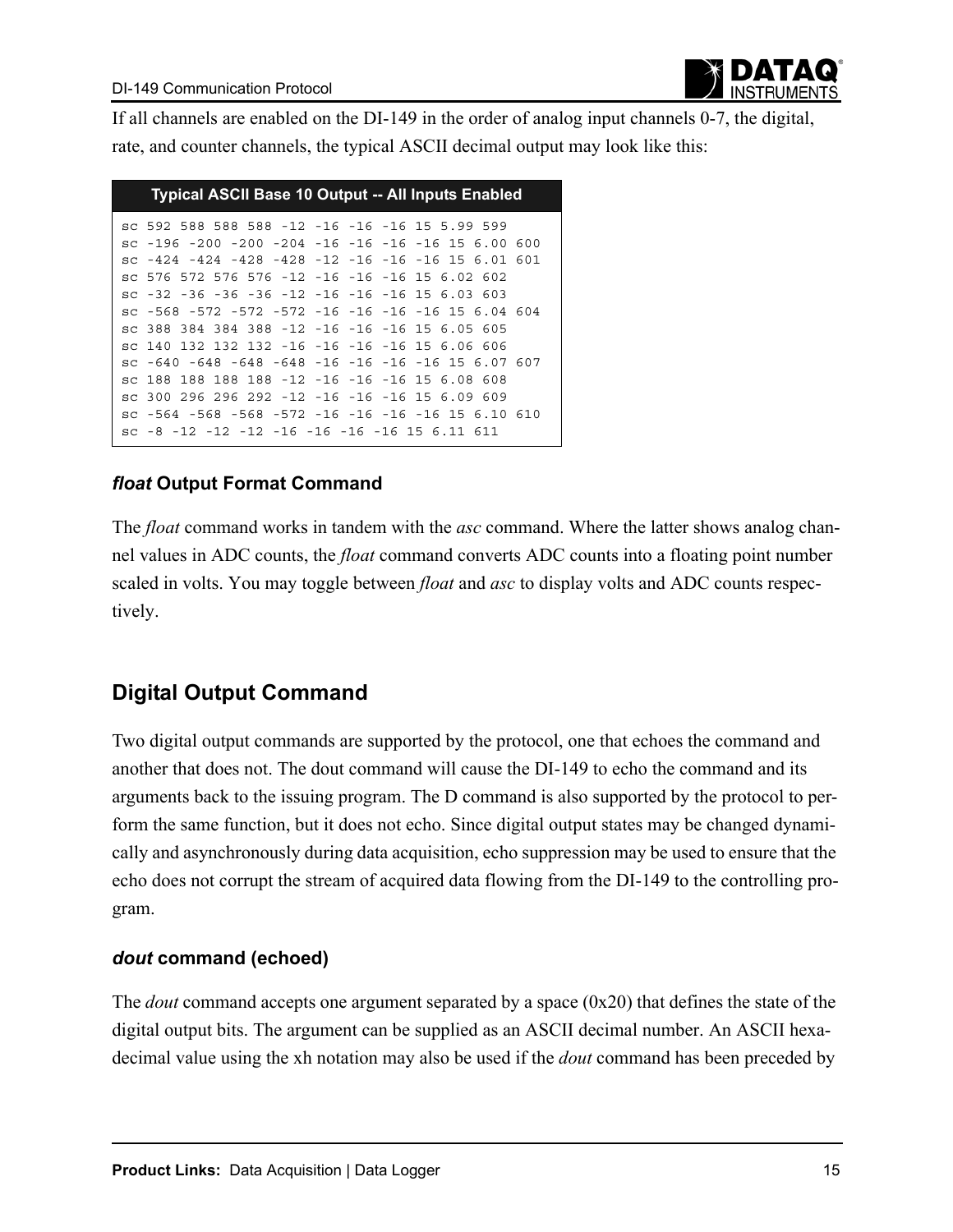If all channels are enabled on the DI-149 in the order of analog input channels 0-7, the digital, rate, and counter channels, the typical ASCII decimal output may look like this:

| <b>Typical ASCII Base 10 Output -- All Inputs Enabled</b>            |
|----------------------------------------------------------------------|
| sc 592 588 588 588 -12 -16 -16 -16 15 5.99 599                       |
| sc -196 -200 -200 -204 -16 -16 -16 -16 15 6.00 600                   |
| sc $-424$ $-424$ $-428$ $-428$ $-12$ $-16$ $-16$ $-16$ 15 6.01 601   |
| sc 576 572 576 576 -12 -16 -16 -16 15 6.02 602                       |
| sc $-32$ $-36$ $-36$ $-36$ $-12$ $-16$ $-16$ $-16$ 15 6.03 603       |
| sc -568 -572 -572 -572 -16 -16 -16 -16 -16 15 6.04 604               |
| sc 388 384 384 388 -12 -16 -16 -16 15 6.05 605                       |
| sc 140 132 132 132 -16 -16 -16 -16 15 6.06 606                       |
| sc $-640$ $-648$ $-648$ $-648$ $-16$ $-16$ $-16$ $-16$ $15$ 6.07 607 |
| sc 188 188 188 188 -12 -16 -16 -16 15 6.08 608                       |
| sc 300 296 296 292 -12 -16 -16 -16 15 6.09 609                       |
| sc -564 -568 -568 -572 -16 -16 -16 -16 15 6.10 610                   |
| sc $-8$ $-12$ $-12$ $-12$ $-16$ $-16$ $-16$ $-16$ $15$ 6, 11 611     |

### *float* **Output Format Command**

The *float* command works in tandem with the *asc* command. Where the latter shows analog channel values in ADC counts, the *float* command converts ADC counts into a floating point number scaled in volts. You may toggle between *float* and *asc* to display volts and ADC counts respectively.

# **Digital Output Command**

Two digital output commands are supported by the protocol, one that echoes the command and another that does not. The dout command will cause the DI-149 to echo the command and its arguments back to the issuing program. The D command is also supported by the protocol to perform the same function, but it does not echo. Since digital output states may be changed dynamically and asynchronously during data acquisition, echo suppression may be used to ensure that the echo does not corrupt the stream of acquired data flowing from the DI-149 to the controlling program.

### *dout* **command (echoed)**

The *dout* command accepts one argument separated by a space (0x20) that defines the state of the digital output bits. The argument can be supplied as an ASCII decimal number. An ASCII hexadecimal value using the xh notation may also be used if the *dout* command has been preceded by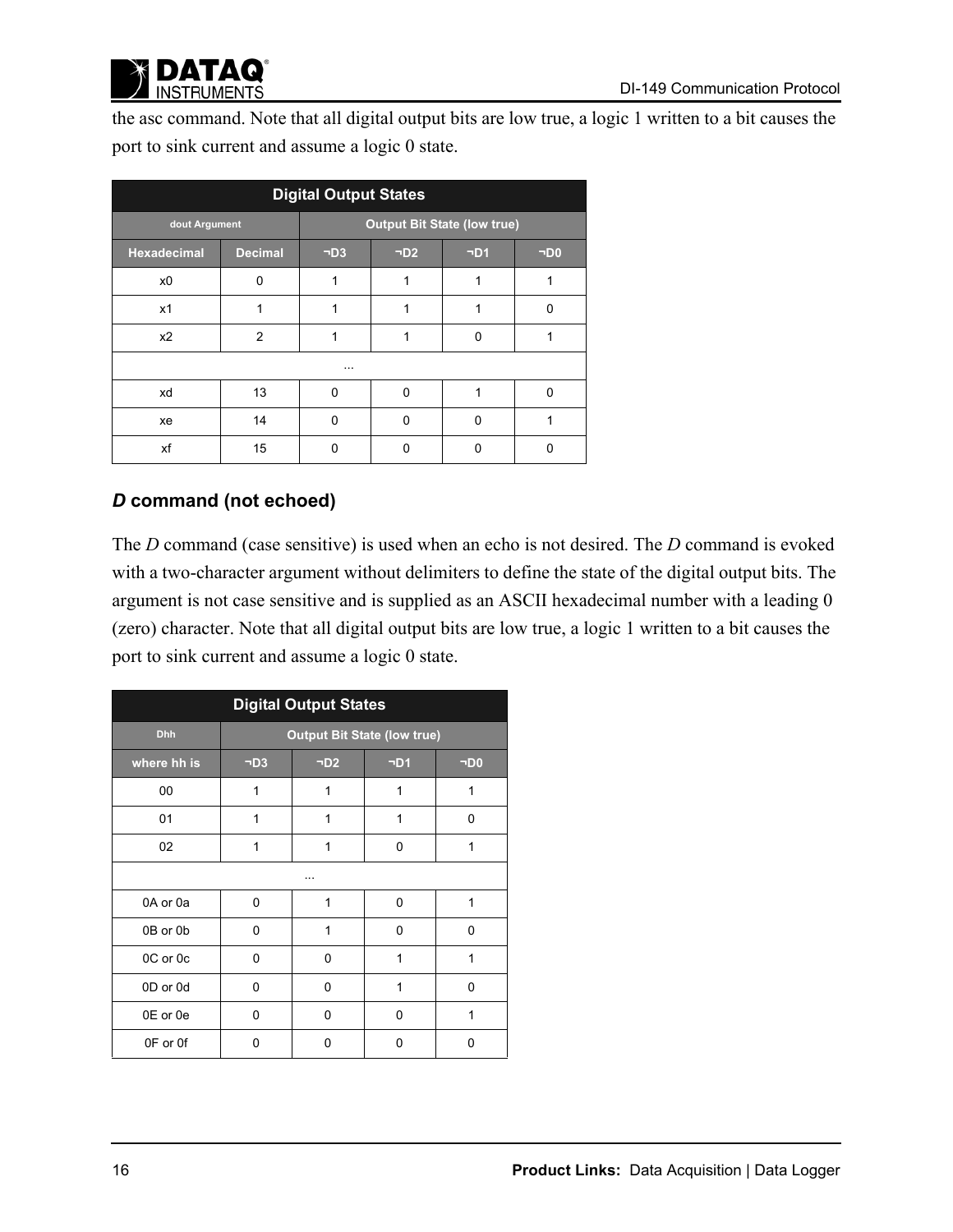

the asc command. Note that all digital output bits are low true, a logic 1 written to a bit causes the port to sink current and assume a logic 0 state.

| <b>Digital Output States</b> |                |           |                                    |           |                       |  |  |  |  |  |
|------------------------------|----------------|-----------|------------------------------------|-----------|-----------------------|--|--|--|--|--|
| dout Argument                |                |           | <b>Output Bit State (low true)</b> |           |                       |  |  |  |  |  |
| <b>Hexadecimal</b>           | <b>Decimal</b> | $\neg D3$ | $\neg D2$                          | $\neg D1$ | $\neg$ D <sub>0</sub> |  |  |  |  |  |
| x <sub>0</sub>               | $\Omega$       | 1         |                                    | 1         |                       |  |  |  |  |  |
| x1                           |                |           |                                    |           | ŋ                     |  |  |  |  |  |
| x2                           | $\overline{2}$ |           |                                    | 0         |                       |  |  |  |  |  |
|                              |                | $\cdots$  |                                    |           |                       |  |  |  |  |  |
| xd                           | 13             | $\Omega$  | $\Omega$                           | 1         | 0                     |  |  |  |  |  |
| xe                           | 14             | $\Omega$  | $\Omega$                           | 0         |                       |  |  |  |  |  |
| xf                           | 15             | 0         | ŋ                                  | 0         | 0                     |  |  |  |  |  |

### *D* **command (not echoed)**

The *D* command (case sensitive) is used when an echo is not desired. The *D* command is evoked with a two-character argument without delimiters to define the state of the digital output bits. The argument is not case sensitive and is supplied as an ASCII hexadecimal number with a leading 0 (zero) character. Note that all digital output bits are low true, a logic 1 written to a bit causes the port to sink current and assume a logic 0 state.

| <b>Digital Output States</b> |                                    |           |           |                       |
|------------------------------|------------------------------------|-----------|-----------|-----------------------|
| <b>Dhh</b>                   | <b>Output Bit State (low true)</b> |           |           |                       |
| where hh is                  | $\neg D3$                          | $\neg D2$ | $\neg D1$ | $\neg$ D <sub>0</sub> |
| 00                           | 1                                  | 1         | 1         | 1                     |
| 01                           | 1                                  | 1         | 1         | 0                     |
| 02                           | 1                                  | 1         | 0         | 1                     |
|                              |                                    |           |           |                       |
| 0A or 0a                     | 0                                  | 1         | $\Omega$  | 1                     |
| 0B or 0b                     | 0                                  | 1         | $\Omega$  | $\Omega$              |
| 0C or 0c                     | 0                                  | 0         | 1         | 1                     |
| 0D or 0d                     | 0                                  | 0         | 1         | 0                     |
| 0E or 0e                     | 0                                  | 0         | 0         | 1                     |
| 0F or 0f                     | 0                                  | 0         | 0         | 0                     |